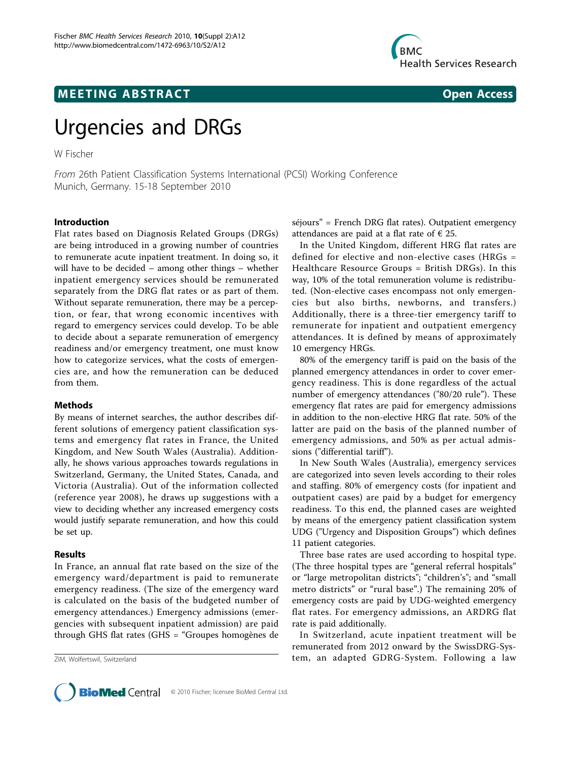

# **MEETING ABSTRACT CONSUMING ABSTRACT**

# Urgencies and DRGs

W Fischer

From 26th Patient Classification Systems International (PCSI) Working Conference Munich, Germany. 15-18 September 2010

#### Introduction

Flat rates based on Diagnosis Related Groups (DRGs) are being introduced in a growing number of countries to remunerate acute inpatient treatment. In doing so, it will have to be decided – among other things – whether inpatient emergency services should be remunerated separately from the DRG flat rates or as part of them. Without separate remuneration, there may be a perception, or fear, that wrong economic incentives with regard to emergency services could develop. To be able to decide about a separate remuneration of emergency readiness and/or emergency treatment, one must know how to categorize services, what the costs of emergencies are, and how the remuneration can be deduced from them.

#### Methods

By means of internet searches, the author describes different solutions of emergency patient classification systems and emergency flat rates in France, the United Kingdom, and New South Wales (Australia). Additionally, he shows various approaches towards regulations in Switzerland, Germany, the United States, Canada, and Victoria (Australia). Out of the information collected (reference year 2008), he draws up suggestions with a view to deciding whether any increased emergency costs would justify separate remuneration, and how this could be set up.

## Results

In France, an annual flat rate based on the size of the emergency ward/department is paid to remunerate emergency readiness. (The size of the emergency ward is calculated on the basis of the budgeted number of emergency attendances.) Emergency admissions (emergencies with subsequent inpatient admission) are paid through GHS flat rates (GHS = "Groupes homogènes de

séjours" = French DRG flat rates). Outpatient emergency attendances are paid at a flat rate of  $\epsilon$  25.

In the United Kingdom, different HRG flat rates are defined for elective and non-elective cases (HRGs = Healthcare Resource Groups = British DRGs). In this way, 10% of the total remuneration volume is redistributed. (Non-elective cases encompass not only emergencies but also births, newborns, and transfers.) Additionally, there is a three-tier emergency tariff to remunerate for inpatient and outpatient emergency attendances. It is defined by means of approximately 10 emergency HRGs.

80% of the emergency tariff is paid on the basis of the planned emergency attendances in order to cover emergency readiness. This is done regardless of the actual number of emergency attendances ("80/20 rule"). These emergency flat rates are paid for emergency admissions in addition to the non-elective HRG flat rate. 50% of the latter are paid on the basis of the planned number of emergency admissions, and 50% as per actual admissions ("differential tariff").

In New South Wales (Australia), emergency services are categorized into seven levels according to their roles and staffing. 80% of emergency costs (for inpatient and outpatient cases) are paid by a budget for emergency readiness. To this end, the planned cases are weighted by means of the emergency patient classification system UDG ("Urgency and Disposition Groups") which defines 11 patient categories.

Three base rates are used according to hospital type. (The three hospital types are "general referral hospitals" or "large metropolitan districts"; "children's"; and "small metro districts" or "rural base".) The remaining 20% of emergency costs are paid by UDG-weighted emergency flat rates. For emergency admissions, an ARDRG flat rate is paid additionally.

In Switzerland, acute inpatient treatment will be remunerated from 2012 onward by the SwissDRG-Sys-ZIM, Wolfertswil, Switzerland **tem, an adapted GDRG-System. Following a law** tem, an adapted GDRG-System. Following a law